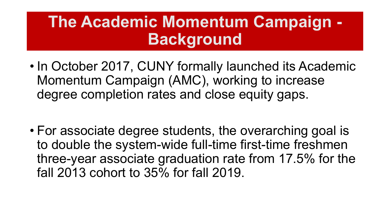### **The Academic Momentum Campaign - Background**

- In October 2017, CUNY formally launched its Academic Momentum Campaign (AMC), working to increase degree completion rates and close equity gaps.
- For associate degree students, the overarching goal is to double the system-wide full-time first-time freshmen three-year associate graduation rate from 17.5% for the fall 2013 cohort to 35% for fall 2019.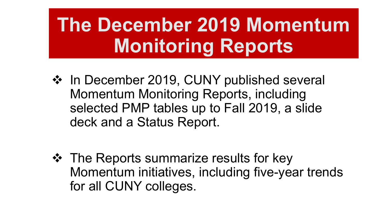# **The December 2019 Momentum Monitoring Reports**

- ❖ In December 2019, CUNY published several Momentum Monitoring Reports, including selected PMP tables up to Fall 2019, a slide deck and a Status Report.
- **❖** The Reports summarize results for key Momentum initiatives, including five-year trends for all CUNY colleges.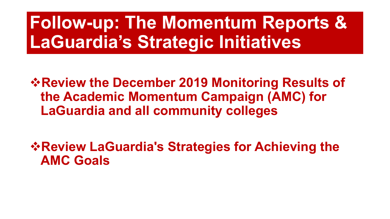# **Follow-up: The Momentum Reports & LaGuardia's Strategic Initiatives**

**Review the December 2019 Monitoring Results of the Academic Momentum Campaign (AMC) for LaGuardia and all community colleges**

**Review LaGuardia's Strategies for Achieving the AMC Goals**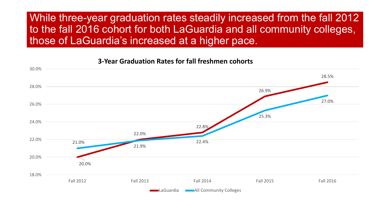### While three-year graduation rates steadily increased from the fall 2012 to the fall 2016 cohort for both LaGuardia and all community colleges, those of LaGuardia's increased at a higher pace.

#### 20.0% 22.0% 22.8% 26.9% 28.5% 21.0% 21.9% 22.4% 25.3% 27.0% 18.0% 20.0% 22.0% 24.0% 26.0% 28.0% 30.0% Fall 2012 Fall 2013 Fall 2014 Fall 2015 Fall 2016 LaGuardia **Community Colleges**

#### **3-Year Graduation Rates for fall freshmen cohorts**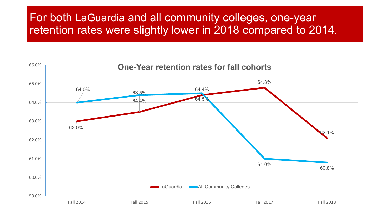### For both LaGuardia and all community colleges, one-year retention rates were slightly lower in 2018 compared to 2014.

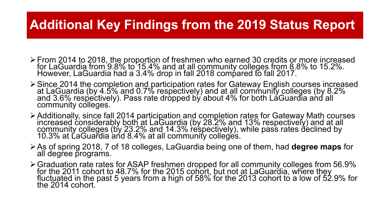### **Additional Key Findings from the 2019 Status Report**

- From 2014 to 2018, the proportion of freshmen who earned 30 credits or more increased for LaGuardia from 9.8% to 15.4% and at all community colleges from 8.8% to 15.2%. However, LaGuardia had a 3.4% drop in fall 2018 compared to fall 2017.
- Since 2014 the completion and participation rates for Gateway English courses increased at LaGuardia (by 4.5% and 0.7% respectively) and at all community colleges (by 8.2% and 3.6% respectively). Pass rate dropped by about 4% for both LaGuardia and all community colleges.
- Additionally, since fall 2014 participation and completion rates for Gateway Math courses increased considerably both at LaGuardia (by 28.2% and 13% respectively) and at all community colleges (by 23.2% and 14.3% respectively), while pass rates déclined by<br>10.3% at LaGuardia and 8.4% at all community colleges.
- As of spring 2018, 7 of 18 colleges, LaGuardia being one of them, had **degree maps** for all degree programs.
- Graduation rate rates for ASAP freshmen dropped for all community colleges from 56.9% for the 2011 cohort to 48.7% for the 2015 cohort, but not at LaGuardia, where they<br>fluctuated in the past 5 years from a high of 58% for the 2013 cohort to a low of 52.9% for<br>the 2014 cohort.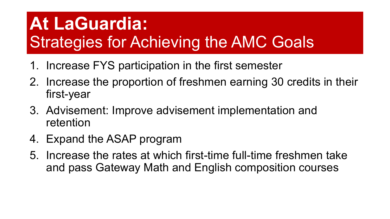## **At LaGuardia:**  Strategies for Achieving the AMC Goals

- 1. Increase FYS participation in the first semester
- 2. Increase the proportion of freshmen earning 30 credits in their first-year
- 3. Advisement: Improve advisement implementation and retention
- 4. Expand the ASAP program
- 5. Increase the rates at which first-time full-time freshmen take and pass Gateway Math and English composition courses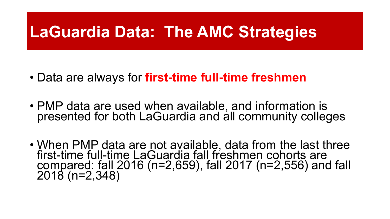### **LaGuardia Data: The AMC Strategies**

- Data are always for **first-time full-time freshmen**
- PMP data are used when available, and information is presented for both LaGuardia and all community colleges
- When PMP data are not available, data from the last three first-time full-time LaGuardia fall freshmen cohorts are compared: fall 2016 (n=2,659), fall 2017 (n=2,556) and fall 2018 (n=2,348)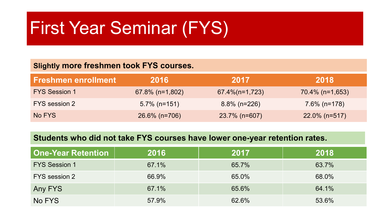## First Year Seminar (FYS)

#### **Slightly more freshmen took FYS courses.**

| <b>Freshmen enrollment</b> | 2016               | 2017               | 2018               |
|----------------------------|--------------------|--------------------|--------------------|
| <b>FYS Session 1</b>       | $67.8\%$ (n=1,802) | $67.4\%$ (n=1,723) | $70.4\%$ (n=1,653) |
| FYS session 2              | $5.7\%$ (n=151)    | $8.8\%$ (n=226)    | $7.6\%$ (n=178)    |
| No FYS                     | $26.6\%$ (n=706)   | $23.7\%$ (n=607)   | $22.0\%$ (n=517)   |

#### **Students who did not take FYS courses have lower one-year retention rates.**

| <b>One-Year Retention</b> | 2016  | 2017  | 2018  |
|---------------------------|-------|-------|-------|
| <b>FYS Session 1</b>      | 67.1% | 65.7% | 63.7% |
| FYS session 2             | 66.9% | 65.0% | 68.0% |
| Any FYS                   | 67.1% | 65.6% | 64.1% |
| No FYS                    | 57.9% | 62.6% | 53.6% |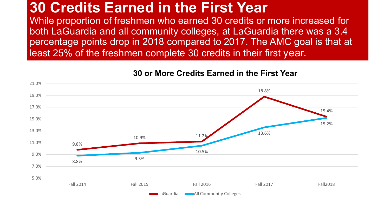### **30 Credits Earned in the First Year**

While proportion of freshmen who earned 30 credits or more increased for both LaGuardia and all community colleges, at LaGuardia there was a 3.4 percentage points drop in 2018 compared to 2017. The AMC goal is that at least 25% of the freshmen complete 30 credits in their first year.



#### **30 or More Credits Earned in the First Year**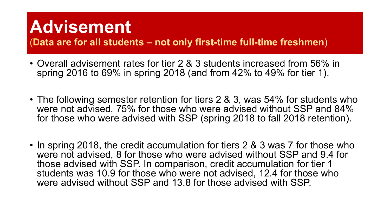## **Advisement**

(**Data are for all students – not only first-time full-time freshmen**)

- Overall advisement rates for tier 2 & 3 students increased from 56% in spring 2016 to 69% in spring 2018 (and from 42% to 49% for tier 1).
- The following semester retention for tiers 2 & 3, was 54% for students who were not advised, 75% for those who were advised without SSP and 84% for those who were advised with SSP (spring 2018 to fall 2018 retention).
- In spring 2018, the credit accumulation for tiers 2 & 3 was 7 for those who were not advised, 8 for those who were advised without SSP and 9.4 for those advised with SSP. In comparison, credit accumulation for tier 1 students was 10.9 for those who were not advised, 12.4 for those who were advised without SSP and 13.8 for those advised with SSP.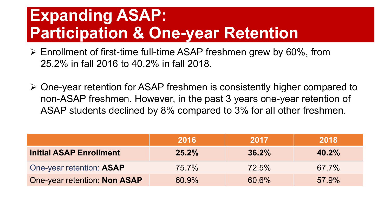### **Expanding ASAP: Participation & One-year Retention**

- $\triangleright$  Enrollment of first-time full-time ASAP freshmen grew by 60%, from 25.2% in fall 2016 to 40.2% in fall 2018.
- One-year retention for ASAP freshmen is consistently higher compared to non-ASAP freshmen. However, in the past 3 years one-year retention of ASAP students declined by 8% compared to 3% for all other freshmen.

|                                | 2016     | 2017     | 2018     |
|--------------------------------|----------|----------|----------|
| <b>Initial ASAP Enrollment</b> | $25.2\%$ | $36.2\%$ | 40.2%    |
| One-year retention: ASAP       | $75.7\%$ | $72.5\%$ | $67.7\%$ |
| One-year retention: Non ASAP   | 60.9%    | 60.6%    | 57.9%    |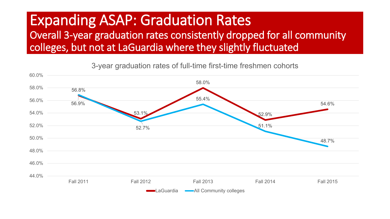### Expanding ASAP: Graduation Rates

Overall 3-year graduation rates consistently dropped for all community colleges, but not at LaGuardia where they slightly fluctuated



3-year graduation rates of full-time first-time freshmen cohorts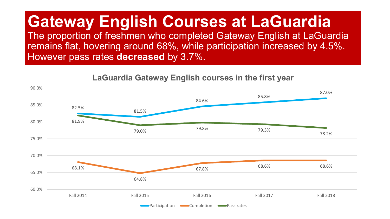### **Gateway English Courses at LaGuardia**

The proportion of freshmen who completed Gateway English at LaGuardia remains flat, hovering around 68%, while participation increased by 4.5%. However pass rates **decreased** by 3.7%.

#### **LaGuardia Gateway English courses in the first year**

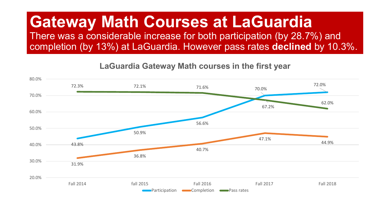### **Gateway Math Courses at LaGuardia**

There was a considerable increase for both participation (by 28.7%) and completion (by 13%) at LaGuardia. However pass rates **declined** by 10.3%.

43.8% 50.9% 56.6% 70.0% 72.0% 31.9% 36.8% 40.7% 47.1% 44.9% 72.3% 72.1% 71.6% 67.2% 62.0% 20.0% 30.0% 40.0% 50.0% 60.0% 70.0% 80.0% Fall 2014 fall 2015 Fall 2016 Fall 2017 Fall 2018 Participation **Completion Pass rates** 

**LaGuardia Gateway Math courses in the first year**